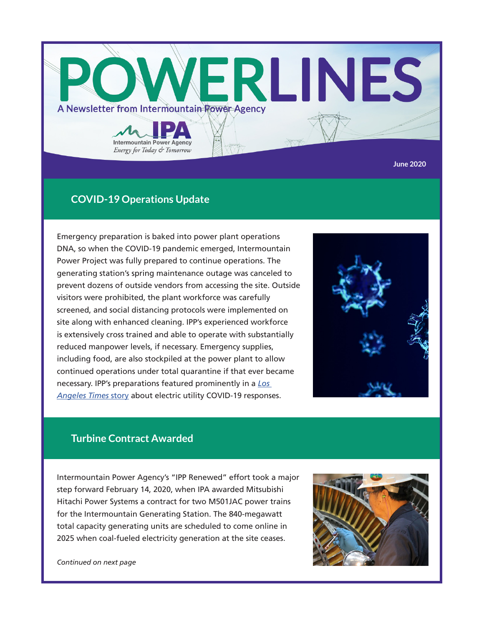

# **COVID-19 Operations Update**

Emergency preparation is baked into power plant operations DNA, so when the COVID-19 pandemic emerged, Intermountain Power Project was fully prepared to continue operations. The generating station's spring maintenance outage was canceled to prevent dozens of outside vendors from accessing the site. Outside visitors were prohibited, the plant workforce was carefully screened, and social distancing protocols were implemented on site along with enhanced cleaning. IPP's experienced workforce is extensively cross trained and able to operate with substantially reduced manpower levels, if necessary. Emergency supplies, including food, are also stockpiled at the power plant to allow continued operations under total quarantine if that ever became necessary. IPP's preparations featured prominently in a *[Los](https://lat.ms/3agRwN3)  [Angeles Times](https://lat.ms/3agRwN3)* story about electric utility COVID-19 responses.



## **Turbine Contract Awarded**

Intermountain Power Agency's "IPP Renewed" effort took a major step forward February 14, 2020, when IPA awarded Mitsubishi Hitachi Power Systems a contract for two M501JAC power trains for the Intermountain Generating Station. The 840-megawatt total capacity generating units are scheduled to come online in 2025 when coal-fueled electricity generation at the site ceases.



*Continued on next page*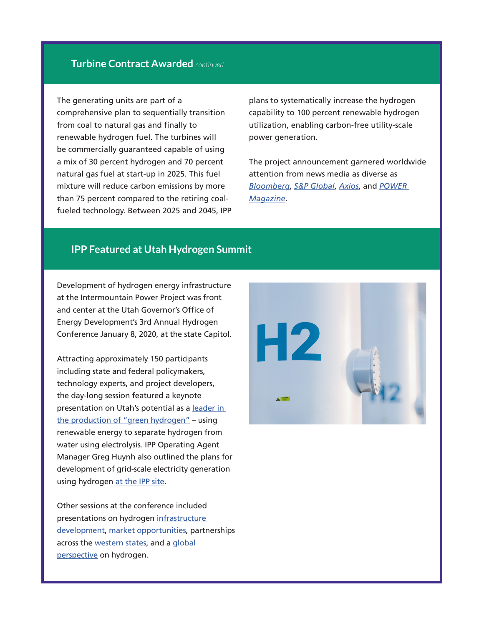### **Turbine Contract Awarded** *continued*

The generating units are part of a comprehensive plan to sequentially transition from coal to natural gas and finally to renewable hydrogen fuel. The turbines will be commercially guaranteed capable of using a mix of 30 percent hydrogen and 70 percent natural gas fuel at start-up in 2025. This fuel mixture will reduce carbon emissions by more than 75 percent compared to the retiring coalfueled technology. Between 2025 and 2045, IPP plans to systematically increase the hydrogen capability to 100 percent renewable hydrogen utilization, enabling carbon-free utility-scale power generation.

The project announcement garnered worldwide attention from news media as diverse as *[Bloomberg](https://bloom.bg/3c4uEC1)*, *[S&P Global](https://bit.ly/3dh9VeF)*, *[Axios](https://bit.ly/3c8zGO4)*, and *[POWER](https://bit.ly/3c8zXk4)  [Magazine](https://bit.ly/3c8zXk4)*.

#### **IPP Featured at Utah Hydrogen Summit**

Development of hydrogen energy infrastructure at the Intermountain Power Project was front and center at the Utah Governor's Office of Energy Development's 3rd Annual Hydrogen Conference January 8, 2020, at the state Capitol.

Attracting approximately 150 participants including state and federal policymakers, technology experts, and project developers, the day-long session featured a keynote presentation on Utah's potential as a [leader in](https://bit.ly/3fjhvah)  [the production of "green hydrogen"](https://bit.ly/3fjhvah) – using renewable energy to separate hydrogen from water using electrolysis. IPP Operating Agent Manager Greg Huynh also outlined the plans for development of grid-scale electricity generation using hydrogen [at the IPP site.](https://bit.ly/35Cvtjd)

Other sessions at the conference included presentations on hydrogen [infrastructure](https://bit.ly/2Yy5RT7)  [development,](https://bit.ly/2Yy5RT7) [market opportunities](https://bit.ly/2W3wBcH), partnerships across the [western states](https://bit.ly/2Wor0MQ), and a global [perspective](https://bit.ly/2zZFcV5) on hydrogen.

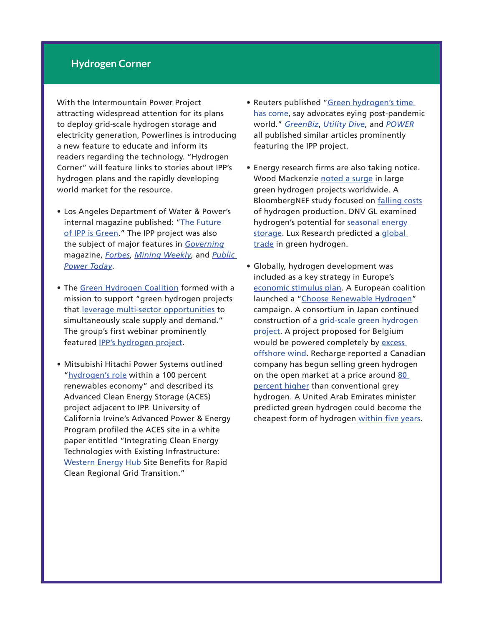### **Hydrogen Corner**

With the Intermountain Power Project attracting widespread attention for its plans to deploy grid-scale hydrogen storage and electricity generation, Powerlines is introducing a new feature to educate and inform its readers regarding the technology. "Hydrogen Corner" will feature links to stories about IPP's hydrogen plans and the rapidly developing world market for the resource.

- Los Angeles Department of Water & Power's internal magazine published: ["The Future](https://bit.ly/3ddYcgS)  [of IPP is Green.](https://bit.ly/3ddYcgS)" The IPP project was also the subject of major features in *[Governing](https://bit.ly/2Ws9WFJ)* magazine, *[Forbes](https://bit.ly/2W2pQrf)*, *[Mining Weekly](https://bit.ly/3enijtq)*, and *[Public](https://bit.ly/2L1aeOw)  [Power Today](https://bit.ly/2L1aeOw)*.
- The [Green Hydrogen Coalition](https://bit.ly/3c3Mcyv) formed with a mission to support "green hydrogen projects that [leverage multi-sector opportunities](https://bit.ly/2SyXh2C) to simultaneously scale supply and demand." The group's first webinar prominently featured [IPP's hydrogen project.](https://bit.ly/2L5q4rj)
- Mitsubishi Hitachi Power Systems outlined "[hydrogen's role](https://bit.ly/2L0Tiba) within a 100 percent renewables economy" and described its Advanced Clean Energy Storage (ACES) project adjacent to IPP. University of California Irvine's Advanced Power & Energy Program profiled the ACES site in a white paper entitled "Integrating Clean Energy Technologies with Existing Infrastructure: [Western Energy Hub](http://Western Energy Hub) Site Benefits for Rapid Clean Regional Grid Transition."
- Reuters published "[Green hydrogen's time](https://bit.ly/2xUl6e6)  [has come](https://bit.ly/2xUl6e6), say advocates eying post-pandemic world." *[GreenBiz](https://bit.ly/3daYRjp)*, *[Utility Dive](https://bit.ly/2XCjhLQ)*, and *[POWER](https://bit.ly/3daypGV)* all published similar articles prominently featuring the IPP project.
- Energy research firms are also taking notice. Wood Mackenzie [noted a surge](https://bit.ly/36BkR4u) in large green hydrogen projects worldwide. A BloombergNEF study focused on [falling costs](https://bit.ly/2ZIigEt) of hydrogen production. DNV GL examined hydrogen's potential for [seasonal energy](https://bit.ly/2U36xgr)  [storage.](https://bit.ly/2U36xgr) Lux Research predicted a global [trade](https://bit.ly/2XE42C7) in green hydrogen.
- Globally, hydrogen development was included as a key strategy in Europe's [economic stimulus plan](https://bloom.bg/36xZJwe). A European coalition launched a "[Choose Renewable Hydrogen](https://bit.ly/2zDPBG7)" campaign. A consortium in Japan continued construction of a [grid-scale green hydrogen](https://bit.ly/3epUzoG)  [project](https://bit.ly/3epUzoG). A project proposed for Belgium would be powered completely by excess [offshore wind.](https://bit.ly/2Bb7hcG) Recharge reported a Canadian company has begun selling green hydrogen on the open market at a price around [80](https://www.rechargenews.com/transition/green-hydrogen-on-sale-in-open-market-at-80-higher-price-than-grey-h2/2-1-743348)  [percent higher](https://www.rechargenews.com/transition/green-hydrogen-on-sale-in-open-market-at-80-higher-price-than-grey-h2/2-1-743348) than conventional grey hydrogen. A United Arab Emirates minister predicted green hydrogen could become the cheapest form of hydrogen [within five years.](https://bit.ly/2ZKDvpb)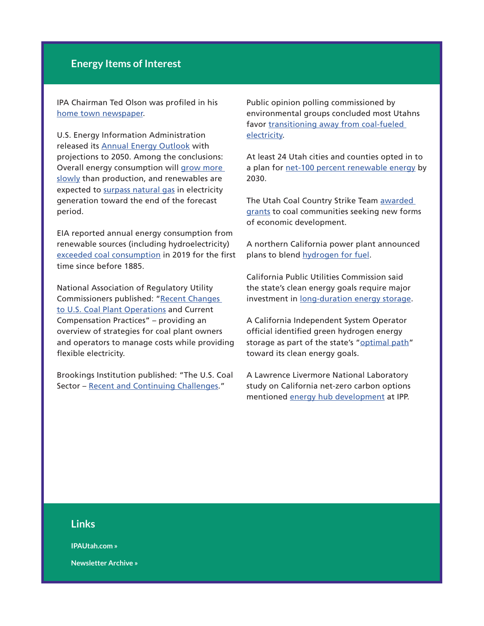### **Energy Items of Interest**

IPA Chairman Ted Olson was profiled in his [home town newspaper.](https://bit.ly/2TP82OS)

U.S. Energy Information Administration released its [Annual Energy Outlook](http://bit.ly/2Gzm7Jp) with projections to 2050. Among the conclusions: Overall energy consumption will [grow more](http://bit.ly/36BHT9V)  [slowly](http://bit.ly/36BHT9V) than production, and renewables are expected to [surpass natural gas](http://bit.ly/2RAt9no) in electricity generation toward the end of the forecast period.

EIA reported annual energy consumption from renewable sources (including hydroelectricity) [exceeded coal consumption](https://bit.ly/3ethTlr) in 2019 for the first time since before 1885.

National Association of Regulatory Utility Commissioners published: "[Recent Changes](http://bit.ly/2tZjSw7)  [to U.S. Coal Plant Operations](http://bit.ly/2tZjSw7) and Current Compensation Practices" – providing an overview of strategies for coal plant owners and operators to manage costs while providing flexible electricity.

Brookings Institution published: "The U.S. Coal Sector – [Recent and Continuing Challenges](https://brook.gs/37BNVZB)."

Public opinion polling commissioned by environmental groups concluded most Utahns favor transitioning away from coal-fueled [electricity](https://bit.ly/2XBUo2J).

At least 24 Utah cities and counties opted in to a plan for [net-100 percent renewable energy](https://bit.ly/2zGS2Yp) by 2030.

The Utah Coal Country Strike Team [awarded](https://bit.ly/2Xac0Ur)  [grants](https://bit.ly/2Xac0Ur) to coal communities seeking new forms of economic development.

A northern California power plant announced plans to blend [hydrogen for fuel](https://bit.ly/3ccGKbw).

California Public Utilities Commission said the state's clean energy goals require major investment in [long-duration energy storage](https://bit.ly/2AiEOku).

A California Independent System Operator official identified green hydrogen energy storage as part of the state's "[optimal path"](https://bit.ly/36BbbHg) toward its clean energy goals.

A Lawrence Livermore National Laboratory study on California net-zero carbon options mentioned [energy hub development](https://www.planetizen.com/news/2020/02/108474-path-california-get-zero-carbonand-below) at IPP.

#### **Links**

**[IPAUtah.com »](https://www.ipautah.com/)**

**[Newsletter Archive »](https://www.ipautah.com/publications/)**